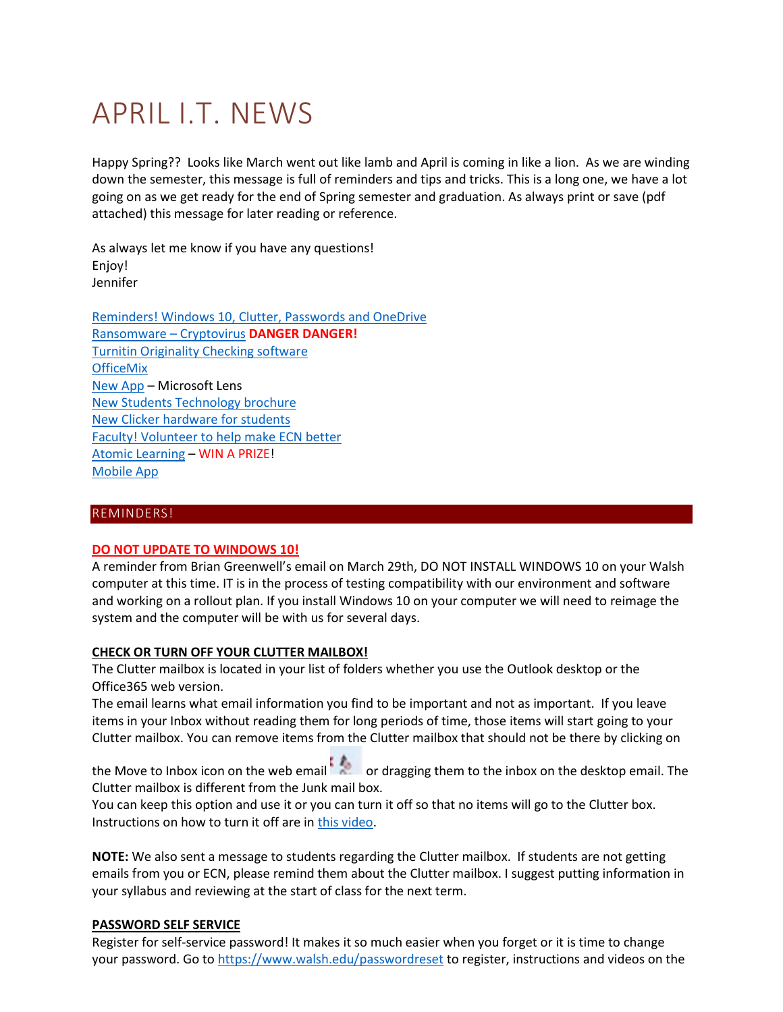# APRIL I.T. NEWS

Happy Spring?? Looks like March went out like lamb and April is coming in like a lion. As we are winding down the semester, this message is full of reminders and tips and tricks. This is a long one, we have a lot going on as we get ready for the end of Spring semester and graduation. As always print or save (pdf attached) this message for later reading or reference.

As always let me know if you have any questions! Enjoy! Jennifer

[Reminders! Windows 10, Clutter, Passwords and OneDrive](#page-0-0) [Ransomware](#page-1-0) – Cryptovirus **DANGER DANGER!** [Turnitin Originality Checking software](#page-3-0) **[OfficeMix](#page-4-0)** New App – Microsoft Lens [New Students Technology brochure](#page-5-0) [New Clicker hardware for students](#page-6-0) [Faculty! Volunteer to help make ECN better](#page-6-1) [Atomic Learning](#page-6-2) – WIN A PRIZE! Mobile App

# <span id="page-0-0"></span>REMINDERS!

#### **DO NOT UPDATE TO WINDOWS 10!**

A reminder from Brian Greenwell's email on March 29th, DO NOT INSTALL WINDOWS 10 on your Walsh computer at this time. IT is in the process of testing compatibility with our environment and software and working on a rollout plan. If you install Windows 10 on your computer we will need to reimage the system and the computer will be with us for several days.

#### **CHECK OR TURN OFF YOUR CLUTTER MAILBOX!**

The Clutter mailbox is located in your list of folders whether you use the Outlook desktop or the Office365 web version.

The email learns what email information you find to be important and not as important. If you leave items in your Inbox without reading them for long periods of time, those items will start going to your Clutter mailbox. You can remove items from the Clutter mailbox that should not be there by clicking on

the Move to Inbox icon on the web email or dragging them to the inbox on the desktop email. The Clutter mailbox is different from the Junk mail box.

You can keep this option and use it or you can turn it off so that no items will go to the Clutter box. Instructions on how to turn it off are i[n this video.](https://mix.office.com/watch/737kiemnz8l7)

**NOTE:** We also sent a message to students regarding the Clutter mailbox. If students are not getting emails from you or ECN, please remind them about the Clutter mailbox. I suggest putting information in your syllabus and reviewing at the start of class for the next term.

#### **PASSWORD SELF SERVICE**

Register for self-service password! It makes it so much easier when you forget or it is time to change your password. Go to<https://www.walsh.edu/passwordreset> to register, instructions and videos on the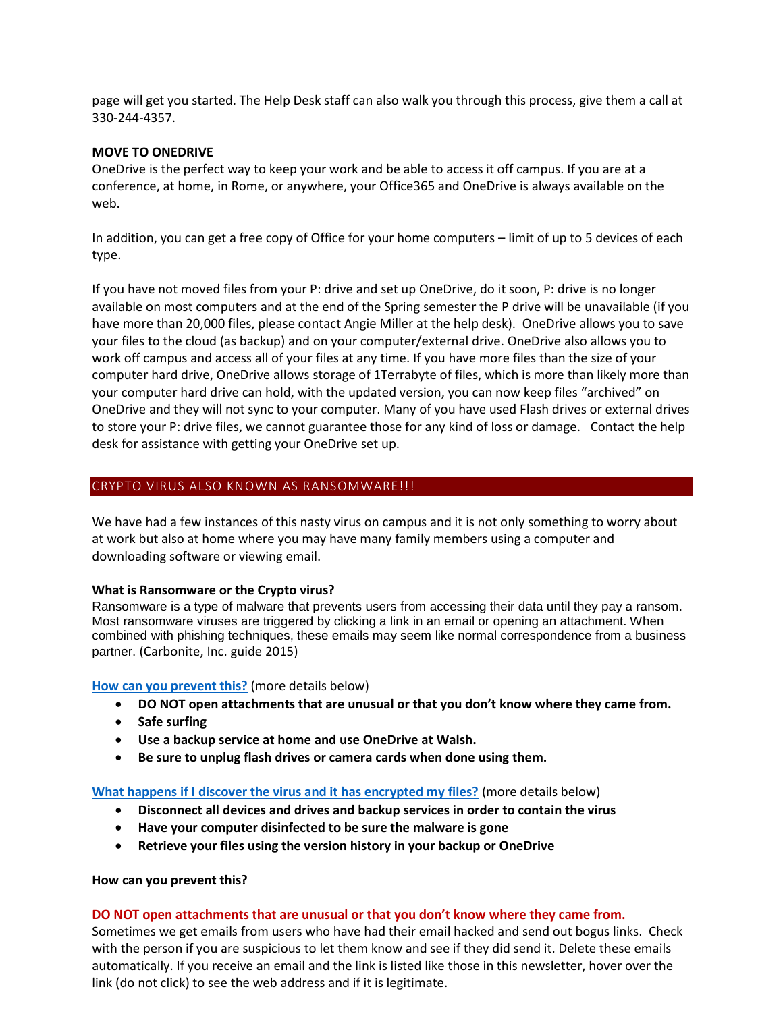page will get you started. The Help Desk staff can also walk you through this process, give them a call at 330-244-4357.

# **MOVE TO ONEDRIVE**

OneDrive is the perfect way to keep your work and be able to access it off campus. If you are at a conference, at home, in Rome, or anywhere, your Office365 and OneDrive is always available on the web.

In addition, you can get a free copy of Office for your home computers – limit of up to 5 devices of each type.

If you have not moved files from your P: drive and set up OneDrive, do it soon, P: drive is no longer available on most computers and at the end of the Spring semester the P drive will be unavailable (if you have more than 20,000 files, please contact Angie Miller at the help desk). OneDrive allows you to save your files to the cloud (as backup) and on your computer/external drive. OneDrive also allows you to work off campus and access all of your files at any time. If you have more files than the size of your computer hard drive, OneDrive allows storage of 1Terrabyte of files, which is more than likely more than your computer hard drive can hold, with the updated version, you can now keep files "archived" on OneDrive and they will not sync to your computer. Many of you have used Flash drives or external drives to store your P: drive files, we cannot guarantee those for any kind of loss or damage. Contact the help desk for assistance with getting your OneDrive set up.

# <span id="page-1-0"></span>CRYPTO VIRUS ALSO KNOWN AS RANSOMWARE!!!

We have had a few instances of this nasty virus on campus and it is not only something to worry about at work but also at home where you may have many family members using a computer and downloading software or viewing email.

#### **What is Ransomware or the Crypto virus?**

Ransomware is a type of malware that prevents users from accessing their data until they pay a ransom. Most ransomware viruses are triggered by clicking a link in an email or opening an attachment. When combined with phishing techniques, these emails may seem like normal correspondence from a business partner. (Carbonite, Inc. guide 2015)

#### **[How can you prevent this?](#page-1-1)** (more details below)

- **DO NOT open attachments that are unusual or that you don't know where they came from.**
- **•** Safe surfing
- **Use a backup service at home and use OneDrive at Walsh.**
- **Be sure to unplug flash drives or camera cards when done using them.**

**[What happens if I discover the virus and it has encrypted my files?](#page-2-0)** (more details below)

- **Disconnect all devices and drives and backup services in order to contain the virus**
- **Have your computer disinfected to be sure the malware is gone**
- **Retrieve your files using the version history in your backup or OneDrive**

#### <span id="page-1-1"></span>**How can you prevent this?**

#### **DO NOT open attachments that are unusual or that you don't know where they came from.**

Sometimes we get emails from users who have had their email hacked and send out bogus links. Check with the person if you are suspicious to let them know and see if they did send it. Delete these emails automatically. If you receive an email and the link is listed like those in this newsletter, hover over the link (do not click) to see the web address and if it is legitimate.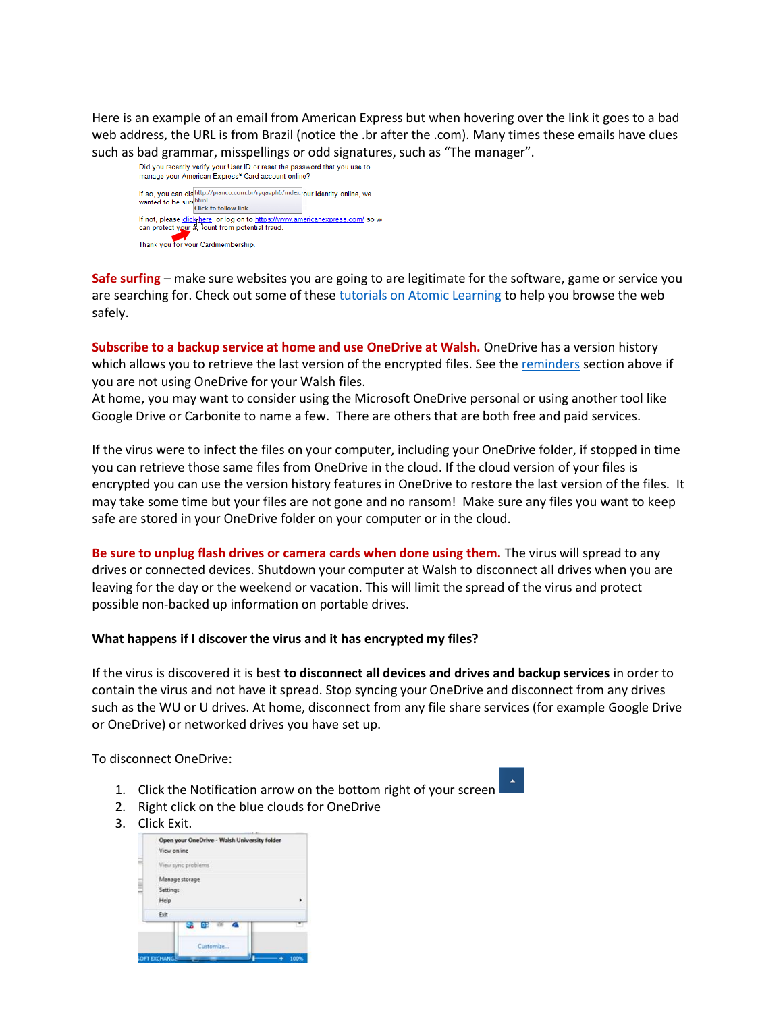Here is an example of an email from American Express but when hovering over the link it goes to a bad web address, the URL is from Brazil (notice the .br after the .com). Many times these emails have clues such as bad grammar, misspellings or odd signatures, such as "The manager".<br>Did you recently verify your User ID or reset the password that you use to



**Safe surfing** – make sure websites you are going to are legitimate for the software, game or service you are searching for. Check out some of these [tutorials on Atomic Learning](https://www.atomiclearning.com/highed/savvy_online) to help you browse the web safely.

**Subscribe to a backup service at home and use OneDrive at Walsh.** OneDrive has a version history which allows you to retrieve the last version of the encrypted files. See the [reminders](#page-0-0) section above if you are not using OneDrive for your Walsh files.

At home, you may want to consider using the Microsoft OneDrive personal or using another tool like Google Drive or Carbonite to name a few. There are others that are both free and paid services.

If the virus were to infect the files on your computer, including your OneDrive folder, if stopped in time you can retrieve those same files from OneDrive in the cloud. If the cloud version of your files is encrypted you can use the version history features in OneDrive to restore the last version of the files. It may take some time but your files are not gone and no ransom! Make sure any files you want to keep safe are stored in your OneDrive folder on your computer or in the cloud.

**Be sure to unplug flash drives or camera cards when done using them.** The virus will spread to any drives or connected devices. Shutdown your computer at Walsh to disconnect all drives when you are leaving for the day or the weekend or vacation. This will limit the spread of the virus and protect possible non-backed up information on portable drives.

#### <span id="page-2-0"></span>**What happens if I discover the virus and it has encrypted my files?**

If the virus is discovered it is best **to disconnect all devices and drives and backup services** in order to contain the virus and not have it spread. Stop syncing your OneDrive and disconnect from any drives such as the WU or U drives. At home, disconnect from any file share services (for example Google Drive or OneDrive) or networked drives you have set up.

To disconnect OneDrive:

- 1. Click the Notification arrow on the bottom right of your screen
- 2. Right click on the blue clouds for OneDrive
- 3. Click Exit.

|                                    | οş                                           |  |  |  |
|------------------------------------|----------------------------------------------|--|--|--|
| Exit                               |                                              |  |  |  |
| Manage storage<br>Settings<br>Help |                                              |  |  |  |
| View sync problems                 |                                              |  |  |  |
| View online                        | Open your OneDrive - Walsh University folder |  |  |  |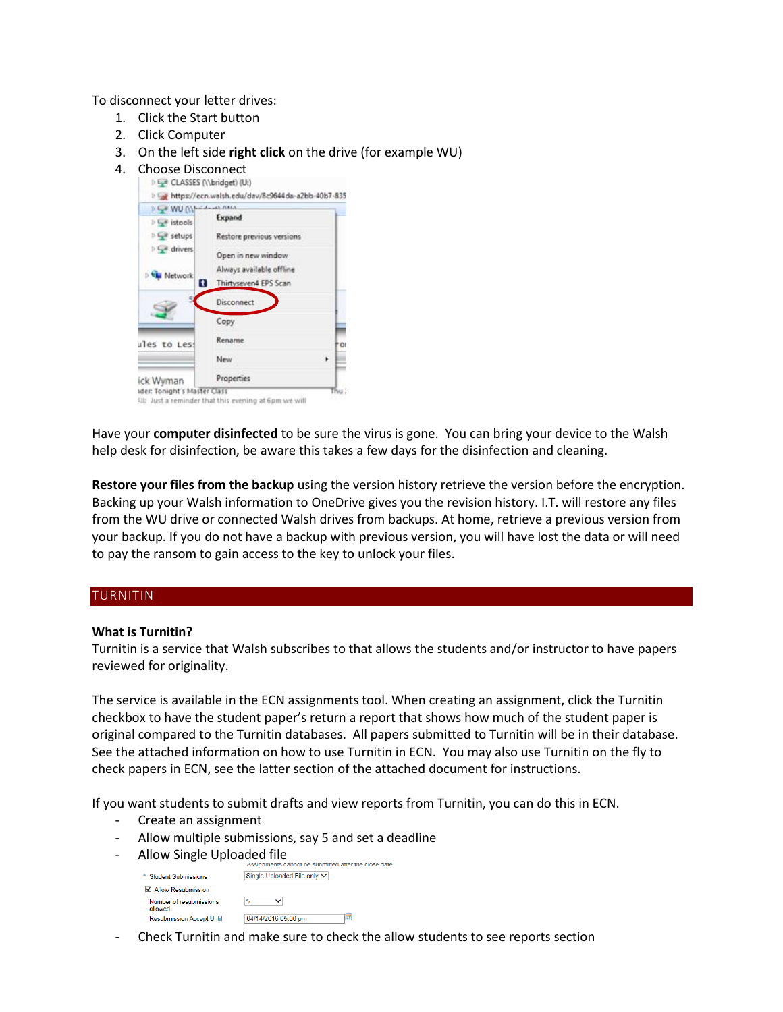To disconnect your letter drives:

- 1. Click the Start button
- 2. Click Computer
- 3. On the left side **right click** on the drive (for example WU)
- 4. Choose Disconnect<br> $\left| \right\rangle \rightarrow \left| \right\rangle$  CLASSES (\\bridget) (U:)



Have your **computer disinfected** to be sure the virus is gone. You can bring your device to the Walsh help desk for disinfection, be aware this takes a few days for the disinfection and cleaning.

**Restore your files from the backup** using the version history retrieve the version before the encryption. Backing up your Walsh information to OneDrive gives you the revision history. I.T. will restore any files from the WU drive or connected Walsh drives from backups. At home, retrieve a previous version from your backup. If you do not have a backup with previous version, you will have lost the data or will need to pay the ransom to gain access to the key to unlock your files.

#### <span id="page-3-0"></span>TURNITIN

#### **What is Turnitin?**

Turnitin is a service that Walsh subscribes to that allows the students and/or instructor to have papers reviewed for originality.

The service is available in the ECN assignments tool. When creating an assignment, click the Turnitin checkbox to have the student paper's return a report that shows how much of the student paper is original compared to the Turnitin databases. All papers submitted to Turnitin will be in their database. See the attached information on how to use Turnitin in ECN. You may also use Turnitin on the fly to check papers in ECN, see the latter section of the attached document for instructions.

If you want students to submit drafts and view reports from Turnitin, you can do this in ECN.

- Create an assignment
- Allow multiple submissions, say 5 and set a deadline
- Allow Single Uploaded file

|                                    | Assignments cannot be submitted after the close date |
|------------------------------------|------------------------------------------------------|
| <b>Student Submissions</b>         | Single Uploaded File only V                          |
| √ Allow Resubmission               |                                                      |
| Number of resubmissions<br>allowed | 5                                                    |
| <b>Resubmission Accept Until</b>   | 04/14/2016 05:00 pm<br>⋥                             |

- Check Turnitin and make sure to check the allow students to see reports section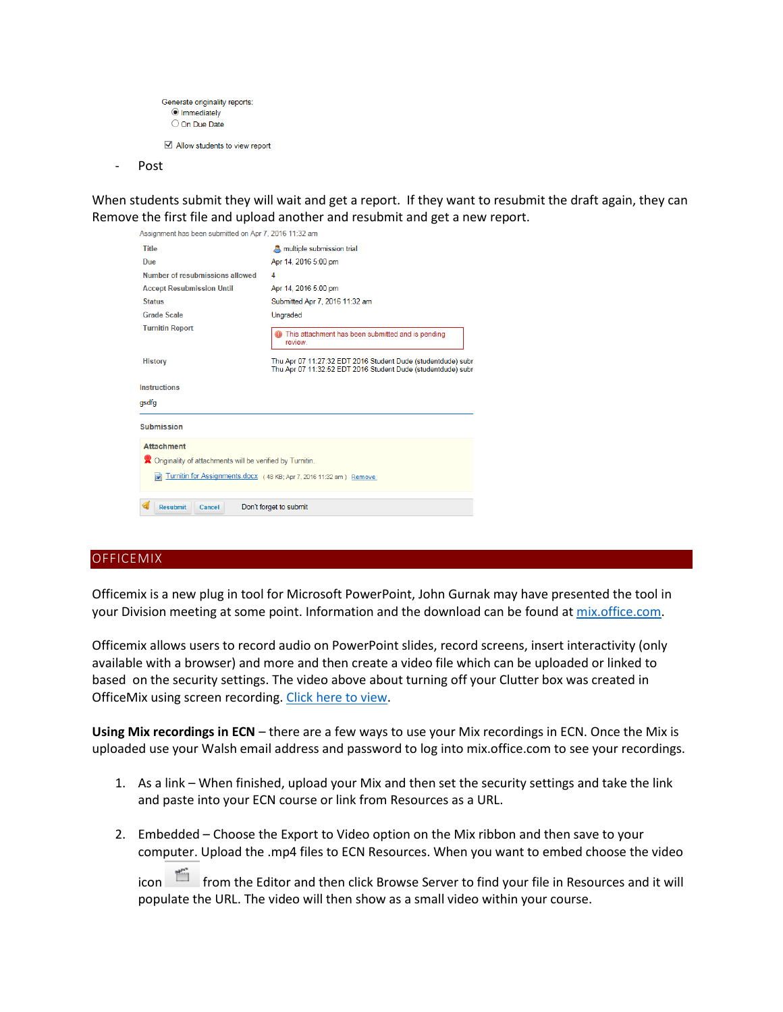```
Generate originality reports:
  Immediately
  O On Due Date
Allow students to view report
```
Post

When students submit they will wait and get a report. If they want to resubmit the draft again, they can Remove the first file and upload another and resubmit and get a new report.

| Assignment has been submitted on Apr 1, 2016 TT.32 am      |                                                                                                                              |  |
|------------------------------------------------------------|------------------------------------------------------------------------------------------------------------------------------|--|
| <b>Title</b>                                               | multiple submission trial                                                                                                    |  |
| Due                                                        | Apr 14, 2016 5:00 pm                                                                                                         |  |
| Number of resubmissions allowed                            | 4                                                                                                                            |  |
| <b>Accept Resubmission Until</b>                           | Apr 14, 2016 5:00 pm                                                                                                         |  |
| <b>Status</b>                                              | Submitted Apr 7, 2016 11:32 am                                                                                               |  |
| <b>Grade Scale</b>                                         | Ungraded                                                                                                                     |  |
| <b>Turnitin Report</b>                                     | This attachment has been submitted and is pending<br>review.                                                                 |  |
| <b>History</b>                                             | Thu Apr 07 11:27:32 EDT 2016 Student Dude (studentdude) subr<br>Thu Apr 07 11:32:52 EDT 2016 Student Dude (studentdude) subr |  |
| <b>Instructions</b>                                        |                                                                                                                              |  |
| asdfa                                                      |                                                                                                                              |  |
| <b>Submission</b>                                          |                                                                                                                              |  |
| <b>Attachment</b>                                          |                                                                                                                              |  |
| X Originality of attachments will be verified by Turnitin. |                                                                                                                              |  |
| $\overline{w}$                                             | Turnitin for Assignments.docx (48 KB; Apr 7, 2016 11:32 am) Remove                                                           |  |
| <b>Resubmit</b><br>Cancel                                  | Don't forget to submit                                                                                                       |  |

#### <span id="page-4-0"></span>**OFFICEMIX**

Officemix is a new plug in tool for Microsoft PowerPoint, John Gurnak may have presented the tool in your Division meeting at some point. Information and the download can be found at [mix.office.com.](https://mix.office.com/)

Officemix allows users to record audio on PowerPoint slides, record screens, insert interactivity (only available with a browser) and more and then create a video file which can be uploaded or linked to based on the security settings. The video above about turning off your Clutter box was created in OfficeMix using screen recording. [Click here to view.](https://mix.office.com/watch/737kiemnz8l7)

**Using Mix recordings in ECN** – there are a few ways to use your Mix recordings in ECN. Once the Mix is uploaded use your Walsh email address and password to log into mix.office.com to see your recordings.

- 1. As a link When finished, upload your Mix and then set the security settings and take the link and paste into your ECN course or link from Resources as a URL.
- 2. Embedded Choose the Export to Video option on the Mix ribbon and then save to your computer. Upload the .mp4 files to ECN Resources. When you want to embed choose the video

icon from the Editor and then click Browse Server to find your file in Resources and it will populate the URL. The video will then show as a small video within your course.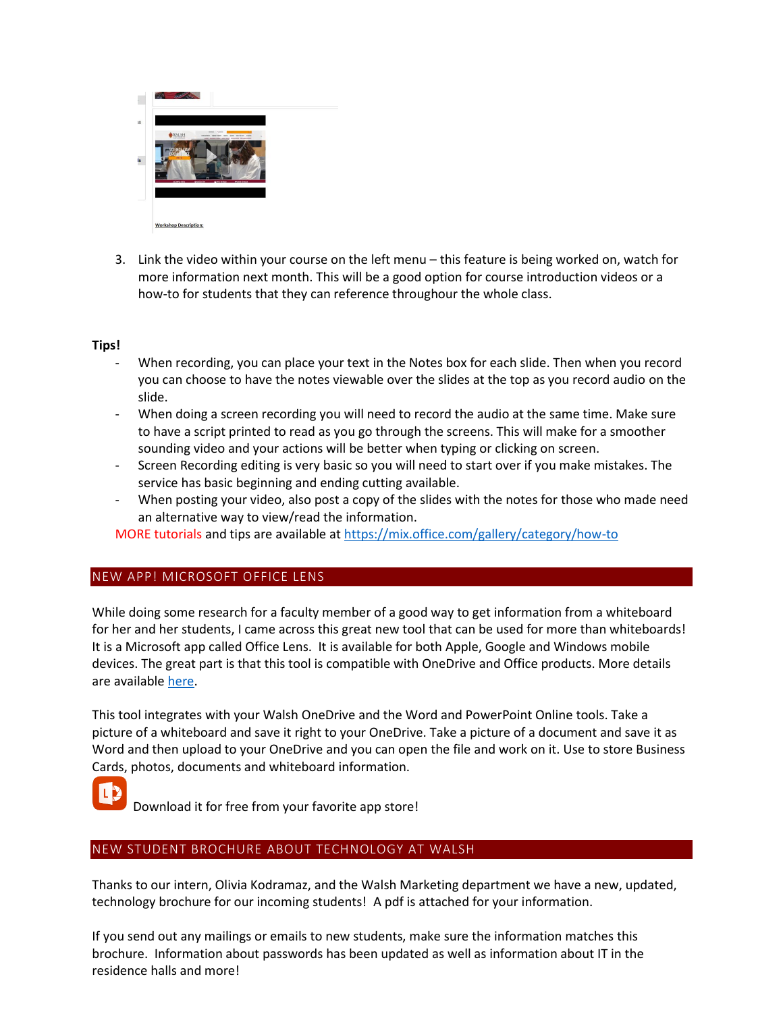

3. Link the video within your course on the left menu – this feature is being worked on, watch for more information next month. This will be a good option for course introduction videos or a how-to for students that they can reference throughour the whole class.

# **Tips!**

- When recording, you can place your text in the Notes box for each slide. Then when you record you can choose to have the notes viewable over the slides at the top as you record audio on the slide.
- When doing a screen recording you will need to record the audio at the same time. Make sure to have a script printed to read as you go through the screens. This will make for a smoother sounding video and your actions will be better when typing or clicking on screen.
- Screen Recording editing is very basic so you will need to start over if you make mistakes. The service has basic beginning and ending cutting available.
- When posting your video, also post a copy of the slides with the notes for those who made need an alternative way to view/read the information.

MORE tutorials and tips are available at<https://mix.office.com/gallery/category/how-to>

# NEW APP! MICROSOFT OFFICE LENS

While doing some research for a faculty member of a good way to get information from a whiteboard for her and her students, I came across this great new tool that can be used for more than whiteboards! It is a Microsoft app called Office Lens. It is available for both Apple, Google and Windows mobile devices. The great part is that this tool is compatible with OneDrive and Office products. More details are available [here.](https://blogs.office.com/2015/04/02/office-lens-comes-to-iphone-and-android/#SwVLy81ltheagHdQ.97)

This tool integrates with your Walsh OneDrive and the Word and PowerPoint Online tools. Take a picture of a whiteboard and save it right to your OneDrive. Take a picture of a document and save it as Word and then upload to your OneDrive and you can open the file and work on it. Use to store Business Cards, photos, documents and whiteboard information.



Download it for free from your favorite app store!

# <span id="page-5-0"></span>NEW STUDENT BROCHURE ABOUT TECHNOLOGY AT WALSH

Thanks to our intern, Olivia Kodramaz, and the Walsh Marketing department we have a new, updated, technology brochure for our incoming students! A pdf is attached for your information.

If you send out any mailings or emails to new students, make sure the information matches this brochure. Information about passwords has been updated as well as information about IT in the residence halls and more!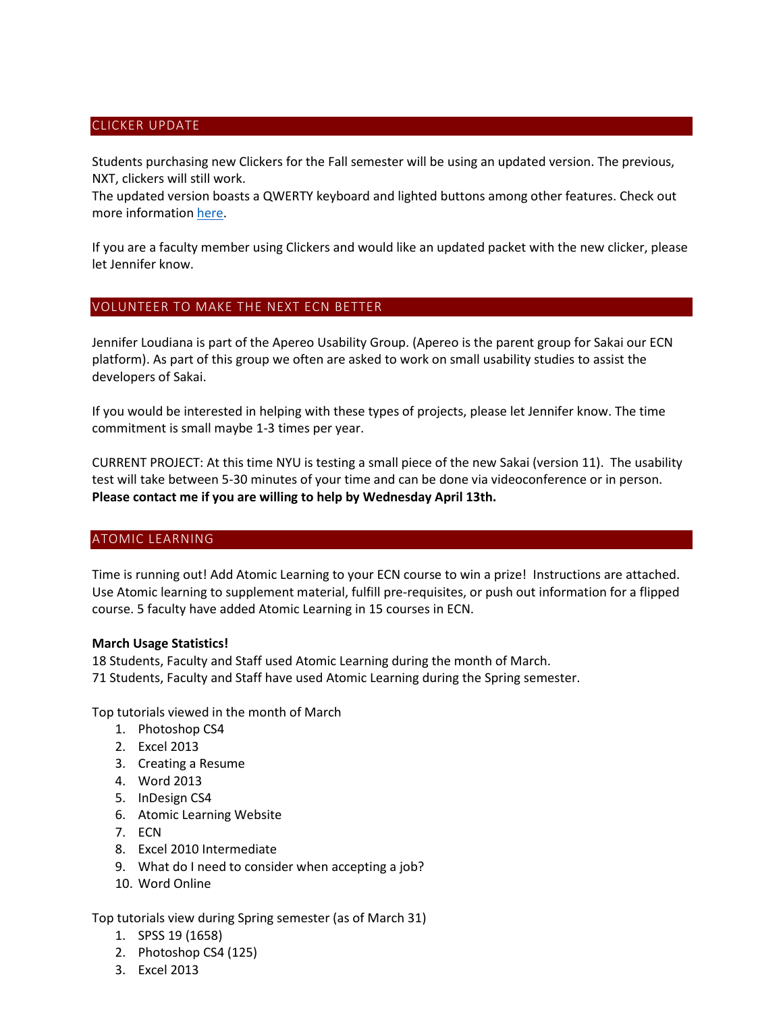# <span id="page-6-0"></span>CLICKER UPDATE

Students purchasing new Clickers for the Fall semester will be using an updated version. The previous, NXT, clickers will still work.

The updated version boasts a QWERTY keyboard and lighted buttons among other features. Check out more information [here.](https://www.turningtechnologies.com/response-solutions/qt-device?silo=he)

If you are a faculty member using Clickers and would like an updated packet with the new clicker, please let Jennifer know.

# <span id="page-6-1"></span>VOLUNTEER TO MAKE THE NEXT ECN BETTER

Jennifer Loudiana is part of the Apereo Usability Group. (Apereo is the parent group for Sakai our ECN platform). As part of this group we often are asked to work on small usability studies to assist the developers of Sakai.

If you would be interested in helping with these types of projects, please let Jennifer know. The time commitment is small maybe 1-3 times per year.

CURRENT PROJECT: At this time NYU is testing a small piece of the new Sakai (version 11). The usability test will take between 5-30 minutes of your time and can be done via videoconference or in person. **Please contact me if you are willing to help by Wednesday April 13th.**

#### <span id="page-6-2"></span>ATOMIC LEARNING

Time is running out! Add Atomic Learning to your ECN course to win a prize! Instructions are attached. Use Atomic learning to supplement material, fulfill pre-requisites, or push out information for a flipped course. 5 faculty have added Atomic Learning in 15 courses in ECN.

#### **March Usage Statistics!**

18 Students, Faculty and Staff used Atomic Learning during the month of March. 71 Students, Faculty and Staff have used Atomic Learning during the Spring semester.

Top tutorials viewed in the month of March

- 1. Photoshop CS4
- 2. Excel 2013
- 3. Creating a Resume
- 4. Word 2013
- 5. InDesign CS4
- 6. Atomic Learning Website
- 7. ECN
- 8. Excel 2010 Intermediate
- 9. What do I need to consider when accepting a job?
- 10. Word Online

Top tutorials view during Spring semester (as of March 31)

- 1. SPSS 19 (1658)
- 2. Photoshop CS4 (125)
- 3. Excel 2013